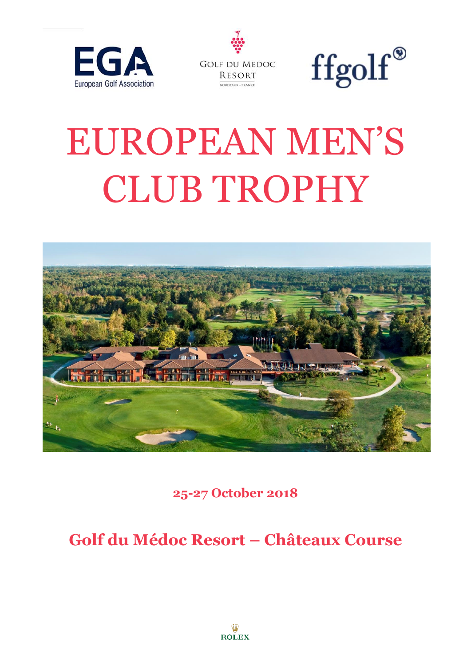





# EUROPEAN MEN'S CLUB TROPHY



**25-27 October 2018**

**Golf du Médoc Resort – Châteaux Course**

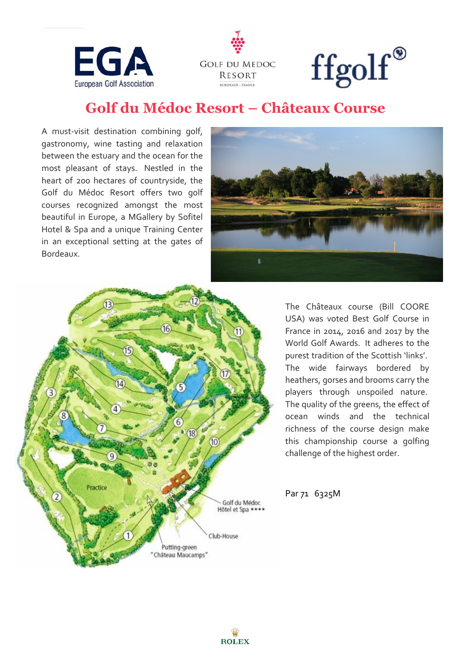





# **Golf du Médoc Resort – Châteaux Course**

A must-visit destination combining golf, gastronomy, wine tasting and relaxation between the estuary and the ocean for the most pleasant of stays. Nestled in the heart of 200 hectares of countryside, the Golf du Médoc Resort offers two golf courses recognized amongst the most beautiful in Europe, a MGallery by Sofitel Hotel & Spa and a unique Training Center in an exceptional setting at the gates of Bordeaux.





The Châteaux course (Bill COORE USA) was voted Best Golf Course in France in 2014, 2016 and 2017 by the World Golf Awards. It adheres to the purest tradition of the Scottish 'links'. The wide fairways bordered by heathers, gorses and brooms carry the players through unspoiled nature. The quality of the greens, the effect of ocean winds and the technical richness of the course design make this championship course a golfing challenge of the highest order.

Par 71 6325M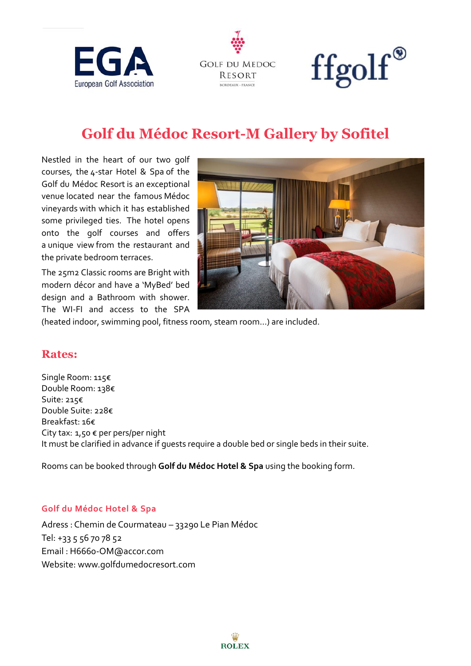





# **Golf du Médoc Resort-M Gallery by Sofitel**

Nestled in the heart of our two golf courses, the 4-star Hotel & Spa of the Golf du Médoc Resort is an exceptional venue located near the famous Médoc vineyards with which it has established some privileged ties. The hotel opens onto the golf courses and offers a unique view from the restaurant and the private bedroom terraces.

The 25m2 Classic rooms are Bright with modern décor and have a 'MyBed' bed design and a Bathroom with shower. The WI-FI and access to the SPA



(heated indoor, swimming pool, fitness room, steam room…) are included.

#### **Rates:**

Single Room: 115€ Double Room: 138€ Suite: 215€ Double Suite: 228€ Breakfast: 16€ City tax: 1,50 € per pers/per night It must be clarified in advance if guests require a double bed or single beds in their suite.

Rooms can be booked through **Golf du Médoc Hotel & Spa** using the booking form.

#### **Golf du Médoc Hotel & Spa**

Adress : Chemin de Courmateau – 33290 Le Pian Médoc Tel: +33 5 56 70 78 52 Email : H6660-OM@accor.com Website: www.golfdumedocresort.com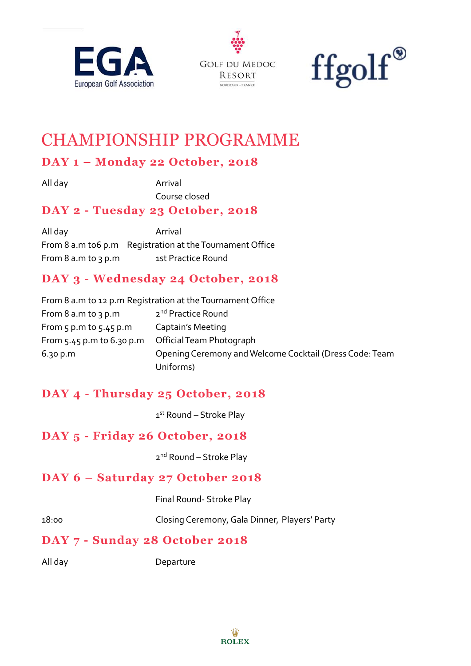





# CHAMPIONSHIP PROGRAMME

# **DAY 1 – Monday 22 October, 2018**

All day **Arrival** Course closed

# **DAY 2 - Tuesday 23 October, 2018**

All day **Arrival** From 8 a.m to6 p.m Registration at the Tournament Office From 8 a.m to 3 p.m 1st Practice Round

# **DAY 3 - Wednesday 24 October, 2018**

|                             | From 8 a.m to 12 p.m Registration at the Tournament Office |
|-----------------------------|------------------------------------------------------------|
| From $8$ a.m to $3$ p.m     | 2 <sup>nd</sup> Practice Round                             |
| From $5$ p.m to $5.45$ p.m  | Captain's Meeting                                          |
| From $5.45$ p.m to 6.30 p.m | Official Team Photograph                                   |
| 6.30 p.m                    | Opening Ceremony and Welcome Cocktail (Dress Code: Team    |
|                             | Uniforms)                                                  |

# **DAY 4 - Thursday 25 October, 2018**

1st Round – Stroke Play

# **DAY 5 - Friday 26 October, 2018**

2<sup>nd</sup> Round – Stroke Play

## **DAY 6 – Saturday 27 October 2018**

Final Round- Stroke Play

18:00 Closing Ceremony, Gala Dinner, Players' Party

## **DAY 7 - Sunday 28 October 2018**

All day Departure

Ŵ **ROLEX**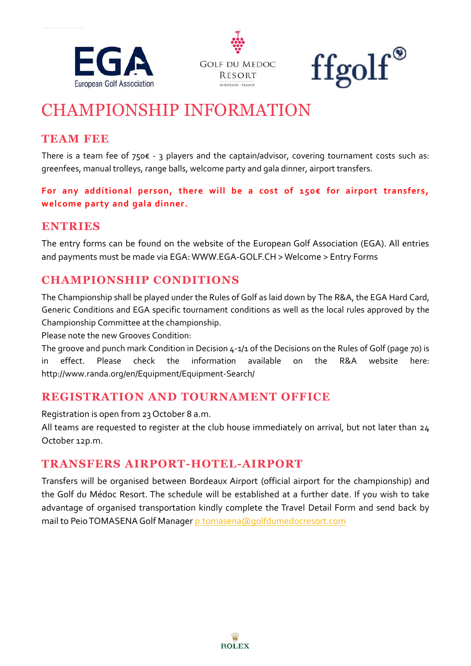





# CHAMPIONSHIP INFORMATION

# **TEAM FEE**

There is a team fee of  $750 \epsilon - 3$  players and the captain/advisor, covering tournament costs such as: greenfees, manual trolleys, range balls, welcome party and gala dinner, airport transfers.

**For any additional person, there will be a cost of 150€ for airport transfers, welcome party and gala dinner.**

### **ENTRIES**

The entry forms can be found on the website of the European Golf Association (EGA). All entries and payments must be made via EGA: WWW.EGA-GOLF.CH > Welcome > Entry Forms

# **CHAMPIONSHIP CONDITIONS**

The Championship shall be played under the Rules of Golf as laid down by The R&A, the EGA Hard Card, Generic Conditions and EGA specific tournament conditions as well as the local rules approved by the Championship Committee at the championship.

Please note the new Grooves Condition:

The groove and punch mark Condition in Decision 4-1/1 of the Decisions on the Rules of Golf (page 70) is in effect. Please check the information available on the R&A website here: http://www.randa.org/en/Equipment/Equipment-Search/

## **REGISTRATION AND TOURNAMENT OFFICE**

Registration is open from 23 October 8 a.m.

All teams are requested to register at the club house immediately on arrival, but not later than 24 October 12p.m.

## **TRANSFERS AIRPORT-HOTEL-AIRPORT**

Transfers will be organised between Bordeaux Airport (official airport for the championship) and the Golf du Médoc Resort. The schedule will be established at a further date. If you wish to take advantage of organised transportation kindly complete the Travel Detail Form and send back by mail to Peio TOMASENA Golf Manager [p.tomasena@golfdumedocresort.com](mailto:p.tomasena@golfdumedocresort.com)

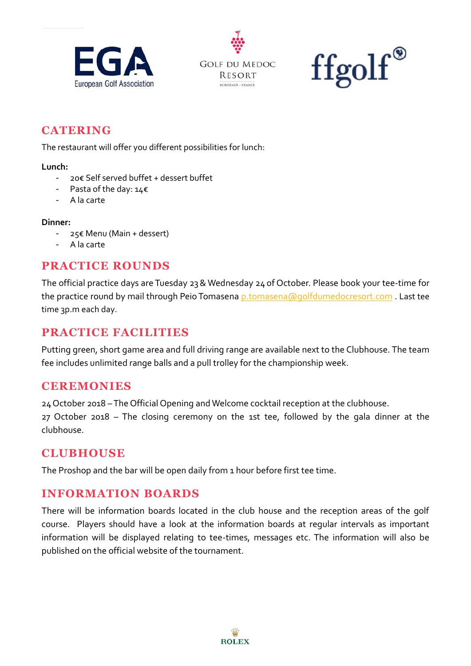





## **CATERING**

The restaurant will offer you different possibilities for lunch:

#### **Lunch:**

- 20€ Self served buffet + dessert buffet
- Pasta of the day: 14€
- A la carte

#### **Dinner:**

- 25€ Menu (Main + dessert)
- A la carte

#### **PRACTICE ROUNDS**

The official practice days are Tuesday 23& Wednesday 24 of October. Please book your tee-time for the practice round by mail through Peio Tomasena [p.tomasena@golfdumedocresort.com](mailto:p.tomasena@golfdumedocresort.com) . Last tee time 3p.m each day.

#### **PRACTICE FACILITIES**

Putting green, short game area and full driving range are available next to the Clubhouse. The team fee includes unlimited range balls and a pull trolley for the championship week.

#### **CEREMONIES**

24October 2018 –The Official Opening and Welcome cocktail reception at the clubhouse.

27 October 2018 – The closing ceremony on the 1st tee, followed by the gala dinner at the clubhouse.

#### **CLUBHOUSE**

The Proshop and the bar will be open daily from 1 hour before first tee time.

#### **INFORMATION BOARDS**

There will be information boards located in the club house and the reception areas of the golf course. Players should have a look at the information boards at regular intervals as important information will be displayed relating to tee-times, messages etc. The information will also be published on the official website of the tournament.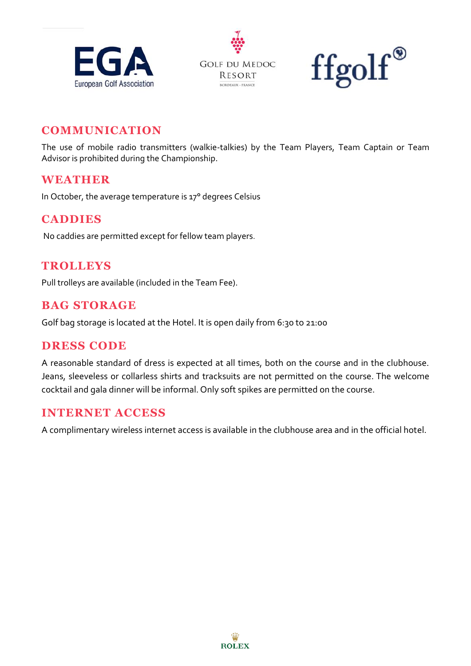





#### **COMMUNICATION**

The use of mobile radio transmitters (walkie-talkies) by the Team Players, Team Captain or Team Advisor is prohibited during the Championship.

#### **WEATHER**

In October, the average temperature is 17° degrees Celsius

#### **CADDIES**

No caddies are permitted except for fellow team players.

#### **TROLLEYS**

Pull trolleys are available (included in the Team Fee).

#### **BAG STORAGE**

Golf bag storage is located at the Hotel. It is open daily from 6:30 to 21:00

#### **DRESS CODE**

A reasonable standard of dress is expected at all times, both on the course and in the clubhouse. Jeans, sleeveless or collarless shirts and tracksuits are not permitted on the course. The welcome cocktail and gala dinner will be informal. Only soft spikes are permitted on the course.

#### **INTERNET ACCESS**

A complimentary wireless internet access is available in the clubhouse area and in the official hotel.

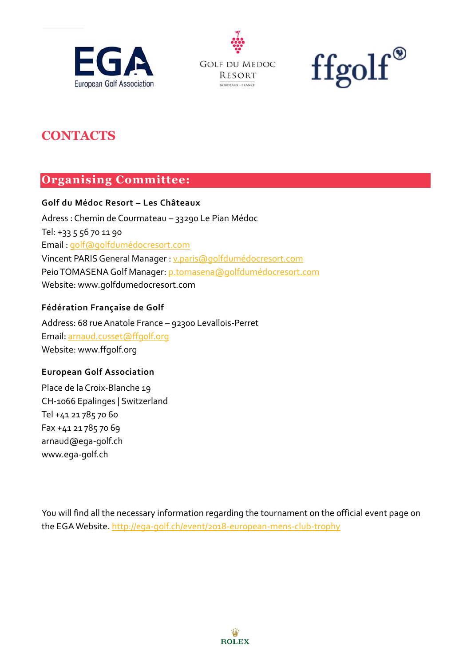





# **CONTACTS**

## **Organising Committee:**

#### **Golf du Médoc Resort – Les Châteaux**

Adress : Chemin de Courmateau – 33290 Le Pian Médoc Tel: +33 5 56 70 11 90 Email : [golf@golfdumédocresort.com](mailto:golf@golfdumédocresort.com) Vincent PARISGeneral Manager : [v.paris@golfdumédocresort.com](mailto:v.paris@golfdumédocresort.com) Peio TOMASENAGolf Manager[: p.tomasena@golfdumédocresort.com](mailto:p.tomasena@golfdumédocresort.com) Website: www.golfdumedocresort.com

#### **Fédération Française de Golf**

Address: 68 rue Anatole France – 92300 Levallois-Perret Email: [arnaud.cusset@ffgolf.org](mailto:arnaud.cusset@ffgolf.org) Website: www.ffgolf.org

#### **European Golf Association**

Place de la Croix-Blanche 19 CH-1066 Epalinges | Switzerland Tel +41 21 785 70 60 Fax +41 21 785 70 69 arnaud@ega-golf.ch www.ega-golf.ch

You will find all the necessary information regarding the tournament on the official event page on the EGA Website[. http://ega-golf.ch/event/2018-european-mens-club-trophy](http://ega-golf.ch/event/2018-european-mens-club-trophy)

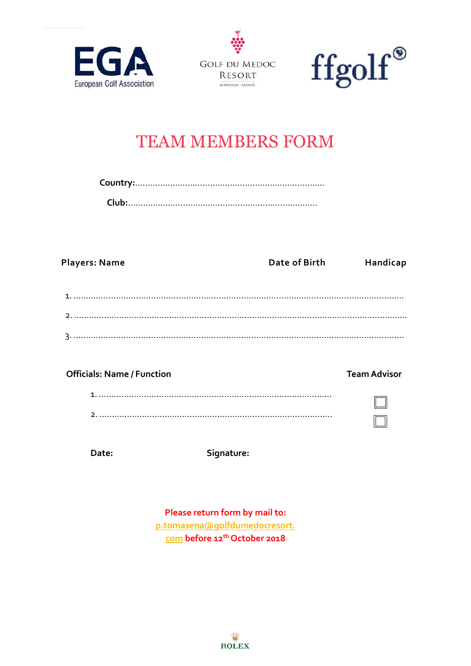





 $\Box$ 

# TEAM MEMBERS FORM

| <b>Players: Name</b>              | Date of Birth | Handicap            |
|-----------------------------------|---------------|---------------------|
|                                   |               |                     |
|                                   |               |                     |
|                                   |               |                     |
|                                   |               |                     |
| <b>Officials: Name / Function</b> |               | <b>Team Advisor</b> |
|                                   |               |                     |

| - |  |  |
|---|--|--|

Date: Signature:

**Please return form by mail to: [p.tomasena@golfdumedocresort.](mailto:p.tomasena@golfdumedocresort.com) [com](mailto:p.tomasena@golfdumedocresort.com) before 12th October 2018**

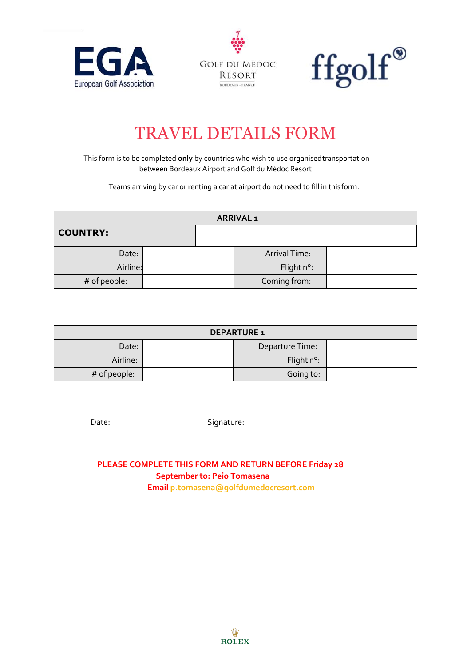





# TRAVEL DETAILS FORM

This form is to be completed **only** by countries who wish to use organisedtransportation between Bordeaux Airport and Golf du Médoc Resort.

Teams arriving by car or renting a car at airport do not need to fill in this form.

| <b>ARRIVAL1</b> |  |  |               |  |
|-----------------|--|--|---------------|--|
| <b>COUNTRY:</b> |  |  |               |  |
| Date:           |  |  | Arrival Time: |  |
| Airline:        |  |  | Flight n°:    |  |
| # of people:    |  |  | Coming from:  |  |

| <b>DEPARTURE 1</b> |  |                      |  |
|--------------------|--|----------------------|--|
| Date:              |  | Departure Time:      |  |
| Airline:           |  | Flight $n^{\circ}$ : |  |
| # of people:       |  | Going to:            |  |

Date: Signature:

 **PLEASE COMPLETE THIS FORM AND RETURN BEFORE Friday 28 September to: Peio Tomasena Emai[l p.tomasena@golfdumedocresort.com](mailto:p.tomasena@golfdumedocresort.com)**